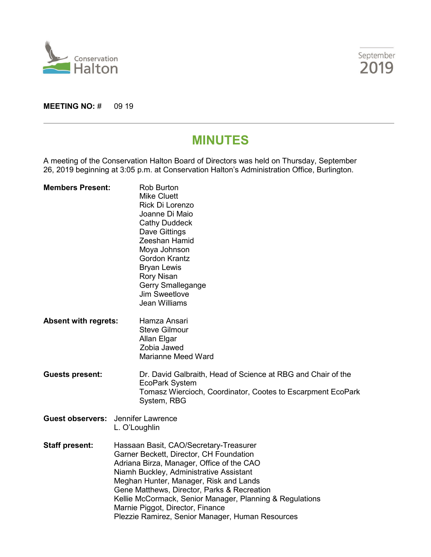



**MEETING NO: # 09 19** 

# **MINUTES**

A meeting of the Conservation Halton Board of Directors was held on Thursday, September 26, 2019 beginning at 3:05 p.m. at Conservation Halton's Administration Office, Burlington.

| <b>Members Present:</b>                   | <b>Rob Burton</b><br><b>Mike Cluett</b><br>Rick Di Lorenzo<br>Joanne Di Maio<br><b>Cathy Duddeck</b><br>Dave Gittings<br>Zeeshan Hamid<br>Moya Johnson<br><b>Gordon Krantz</b><br><b>Bryan Lewis</b><br><b>Rory Nisan</b><br>Gerry Smallegange<br>Jim Sweetlove<br>Jean Williams                                                                                                                                       |  |
|-------------------------------------------|------------------------------------------------------------------------------------------------------------------------------------------------------------------------------------------------------------------------------------------------------------------------------------------------------------------------------------------------------------------------------------------------------------------------|--|
| <b>Absent with regrets:</b>               | Hamza Ansari<br><b>Steve Gilmour</b><br>Allan Elgar<br>Zobia Jawed<br><b>Marianne Meed Ward</b>                                                                                                                                                                                                                                                                                                                        |  |
| <b>Guests present:</b>                    | Dr. David Galbraith, Head of Science at RBG and Chair of the<br>EcoPark System<br>Tomasz Wiercioch, Coordinator, Cootes to Escarpment EcoPark<br>System, RBG                                                                                                                                                                                                                                                           |  |
| <b>Guest observers:</b> Jennifer Lawrence | L. O'Loughlin                                                                                                                                                                                                                                                                                                                                                                                                          |  |
| <b>Staff present:</b>                     | Hassaan Basit, CAO/Secretary-Treasurer<br>Garner Beckett, Director, CH Foundation<br>Adriana Birza, Manager, Office of the CAO<br>Niamh Buckley, Administrative Assistant<br>Meghan Hunter, Manager, Risk and Lands<br>Gene Matthews, Director, Parks & Recreation<br>Kellie McCormack, Senior Manager, Planning & Regulations<br>Marnie Piggot, Director, Finance<br>Plezzie Ramirez, Senior Manager, Human Resources |  |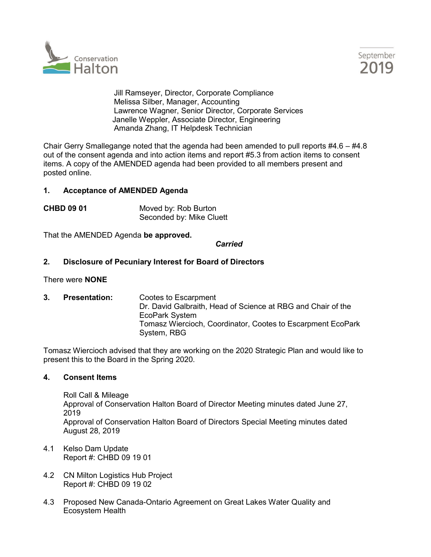



Jill Ramseyer, Director, Corporate Compliance Melissa Silber, Manager, Accounting Lawrence Wagner, Senior Director, Corporate Services Janelle Weppler, Associate Director, Engineering Amanda Zhang, IT Helpdesk Technician

Chair Gerry Smallegange noted that the agenda had been amended to pull reports  $\#4.6 - \#4.8$ out of the consent agenda and into action items and report #5.3 from action items to consent items. A copy of the AMENDED agenda had been provided to all members present and posted online.

## **1. Acceptance of AMENDED Agenda**

**CHBD 09 01** Moved by: Rob Burton Seconded by: Mike Cluett

That the AMENDED Agenda **be approved.**

### *Carried*

## **2. Disclosure of Pecuniary Interest for Board of Directors**

## There were **NONE**

**3. Presentation:** Cootes to Escarpment Dr. David Galbraith, Head of Science at RBG and Chair of the EcoPark System Tomasz Wiercioch, Coordinator, Cootes to Escarpment EcoPark System, RBG

Tomasz Wiercioch advised that they are working on the 2020 Strategic Plan and would like to present this to the Board in the Spring 2020.

### **4. Consent Items**

Roll Call & Mileage Approval of Conservation Halton Board of Director Meeting minutes dated June 27, 2019 Approval of Conservation Halton Board of Directors Special Meeting minutes dated August 28, 2019

- 4.1 Kelso Dam Update Report #: CHBD 09 19 01
- 4.2 CN Milton Logistics Hub Project Report #: CHBD 09 19 02
- 4.3 Proposed New Canada-Ontario Agreement on Great Lakes Water Quality and Ecosystem Health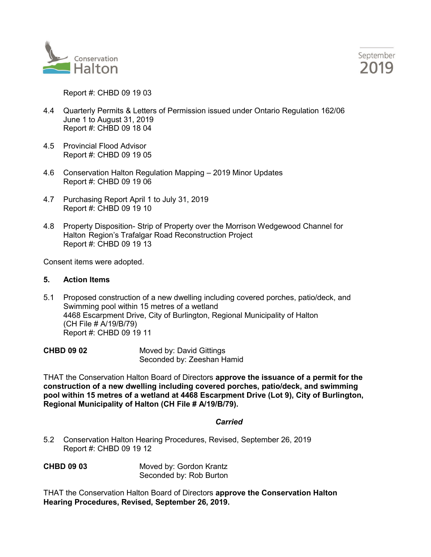



Report #: CHBD 09 19 03

- 4.4 Quarterly Permits & Letters of Permission issued under Ontario Regulation 162/06 June 1 to August 31, 2019 Report #: CHBD 09 18 04
- 4.5 Provincial Flood Advisor Report #: CHBD 09 19 05
- 4.6 Conservation Halton Regulation Mapping 2019 Minor Updates Report #: CHBD 09 19 06
- 4.7 Purchasing Report April 1 to July 31, 2019 Report #: CHBD 09 19 10
- 4.8 Property Disposition- Strip of Property over the Morrison Wedgewood Channel for Halton Region's Trafalgar Road Reconstruction Project Report #: CHBD 09 19 13

Consent items were adopted.

## **5. Action Items**

5.1 Proposed construction of a new dwelling including covered porches, patio/deck, and Swimming pool within 15 metres of a wetland 4468 Escarpment Drive, City of Burlington, Regional Municipality of Halton (CH File # A/19/B/79) Report #: CHBD 09 19 11

| <b>CHBD 09 02</b> | Moved by: David Gittings   |
|-------------------|----------------------------|
|                   | Seconded by: Zeeshan Hamid |

THAT the Conservation Halton Board of Directors **approve the issuance of a permit for the construction of a new dwelling including covered porches, patio/deck, and swimming pool within 15 metres of a wetland at 4468 Escarpment Drive (Lot 9), City of Burlington, Regional Municipality of Halton (CH File # A/19/B/79).**

### *Carried*

5.2 Conservation Halton Hearing Procedures, Revised, September 26, 2019 Report #: CHBD 09 19 12

**CHBD 09 03** Moved by: Gordon Krantz Seconded by: Rob Burton

THAT the Conservation Halton Board of Directors **approve the Conservation Halton Hearing Procedures, Revised, September 26, 2019.**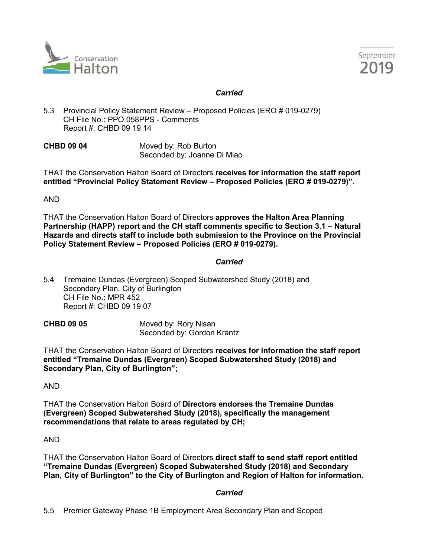



# *Carried*

5.3 Provincial Policy Statement Review – Proposed Policies (ERO # 019-0279) CH File No.: PPO 058PPS - Comments Report #: CHBD 09 19 14

**CHBD 09 04** Moved by: Rob Burton Seconded by: Joanne Di Miao

THAT the Conservation Halton Board of Directors **receives for information the staff report entitled "Provincial Policy Statement Review – Proposed Policies (ERO # 019-0279)".**

AND

THAT the Conservation Halton Board of Directors **approves the Halton Area Planning Partnership (HAPP) report and the CH staff comments specific to Section 3.1 – Natural Hazards and directs staff to include both submission to the Province on the Provincial Policy Statement Review – Proposed Policies (ERO # 019-0279).**

## *Carried*

- 5.4 Tremaine Dundas (Evergreen) Scoped Subwatershed Study (2018) and Secondary Plan, City of Burlington CH File No.: MPR 452 Report #: CHBD 09 19 07
- **CHBD 09 05** Moved by: Rory Nisan Seconded by: Gordon Krantz

THAT the Conservation Halton Board of Directors **receives for information the staff report entitled "Tremaine Dundas (Evergreen) Scoped Subwatershed Study (2018) and Secondary Plan, City of Burlington";** 

AND

THAT the Conservation Halton Board of **Directors endorses the Tremaine Dundas (Evergreen) Scoped Subwatershed Study (2018), specifically the management recommendations that relate to areas regulated by CH;**

AND

THAT the Conservation Halton Board of Directors **direct staff to send staff report entitled "Tremaine Dundas (Evergreen) Scoped Subwatershed Study (2018) and Secondary Plan, City of Burlington" to the City of Burlington and Region of Halton for information.**

# *Carried*

5.5 Premier Gateway Phase 1B Employment Area Secondary Plan and Scoped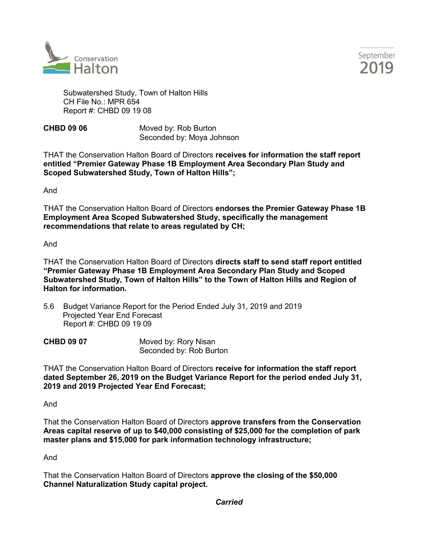



Subwatershed Study, Town of Halton Hills CH File No.: MPR 654 Report #: CHBD 09 19 08

**CHBD 09 06** Moved by: Rob Burton Seconded by: Moya Johnson

THAT the Conservation Halton Board of Directors **receives for information the staff report entitled "Premier Gateway Phase 1B Employment Area Secondary Plan Study and Scoped Subwatershed Study, Town of Halton Hills";** 

And

THAT the Conservation Halton Board of Directors **endorses the Premier Gateway Phase 1B Employment Area Scoped Subwatershed Study, specifically the management recommendations that relate to areas regulated by CH;**

And

THAT the Conservation Halton Board of Directors **directs staff to send staff report entitled "Premier Gateway Phase 1B Employment Area Secondary Plan Study and Scoped Subwatershed Study, Town of Halton Hills" to the Town of Halton Hills and Region of Halton for information.** 

5.6 Budget Variance Report for the Period Ended July 31, 2019 and 2019 Projected Year End Forecast Report #: CHBD 09 19 09

**CHBD 09 07** Moved by: Rory Nisan Seconded by: Rob Burton

THAT the Conservation Halton Board of Directors **receive for information the staff report dated September 26, 2019 on the Budget Variance Report for the period ended July 31, 2019 and 2019 Projected Year End Forecast;**

And

That the Conservation Halton Board of Directors **approve transfers from the Conservation Areas capital reserve of up to \$40,000 consisting of \$25,000 for the completion of park master plans and \$15,000 for park information technology infrastructure;**

And

That the Conservation Halton Board of Directors **approve the closing of the \$50,000 Channel Naturalization Study capital project.** 

*Carried*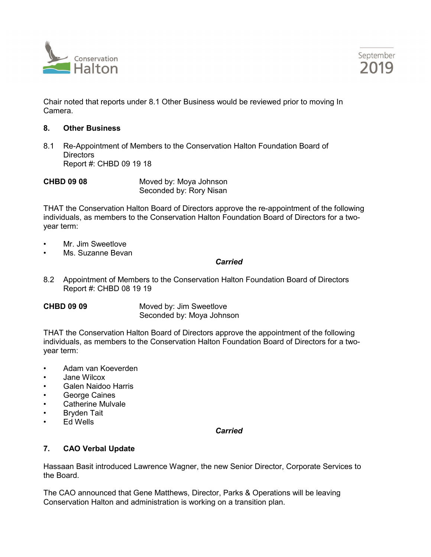



Chair noted that reports under 8.1 Other Business would be reviewed prior to moving In Camera.

## **8. Other Business**

8.1 Re-Appointment of Members to the Conservation Halton Foundation Board of **Directors** Report #: CHBD 09 19 18

**CHBD 09 08** Moved by: Moya Johnson Seconded by: Rory Nisan

THAT the Conservation Halton Board of Directors approve the re-appointment of the following individuals, as members to the Conservation Halton Foundation Board of Directors for a twoyear term:

- Mr. Jim Sweetlove
- Ms. Suzanne Bevan

### *Carried*

- 8.2 Appointment of Members to the Conservation Halton Foundation Board of Directors Report #: CHBD 08 19 19
- 

**CHBD 09 09 Moved by: Jim Sweetlove** Seconded by: Moya Johnson

THAT the Conservation Halton Board of Directors approve the appointment of the following individuals, as members to the Conservation Halton Foundation Board of Directors for a twoyear term:

- Adam van Koeverden
- Jane Wilcox
- Galen Naidoo Harris
- George Caines
- Catherine Mulvale
- Bryden Tait
- Ed Wells

## *Carried*

# **7. CAO Verbal Update**

Hassaan Basit introduced Lawrence Wagner, the new Senior Director, Corporate Services to the Board.

The CAO announced that Gene Matthews, Director, Parks & Operations will be leaving Conservation Halton and administration is working on a transition plan.